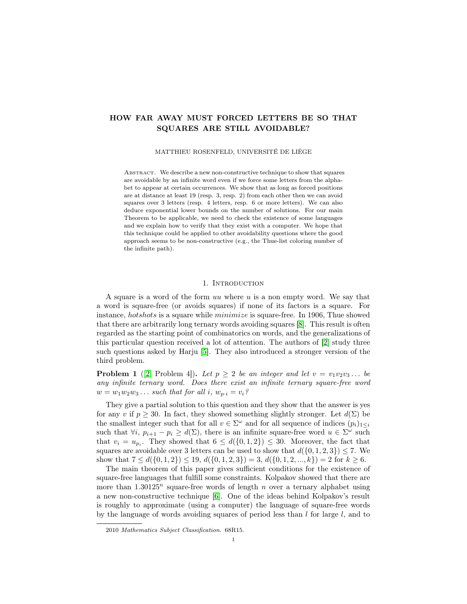# HOW FAR AWAY MUST FORCED LETTERS BE SO THAT SQUARES ARE STILL AVOIDABLE?

MATTHIEU ROSENFELD, UNIVERSITÉ DE LIÈGE

ABSTRACT. We describe a new non-constructive technique to show that squares are avoidable by an infinite word even if we force some letters from the alphabet to appear at certain occurrences. We show that as long as forced positions are at distance at least 19 (resp. 3, resp. 2) from each other then we can avoid squares over 3 letters (resp. 4 letters, resp. 6 or more letters). We can also deduce exponential lower bounds on the number of solutions. For our main Theorem to be applicable, we need to check the existence of some languages and we explain how to verify that they exist with a computer. We hope that this technique could be applied to other avoidability questions where the good approach seems to be non-constructive (e.g., the Thue-list coloring number of the infinite path).

#### 1. INTRODUCTION

A square is a word of the form  $uu$  where  $u$  is a non empty word. We say that a word is square-free (or avoids squares) if none of its factors is a square. For instance, hotshots is a square while minimize is square-free. In 1906, Thue showed that there are arbitrarily long ternary words avoiding squares [\[8\]](#page-14-0). This result is often regarded as the starting point of combinatorics on words, and the generalizations of this particular question received a lot of attention. The authors of [\[2\]](#page-14-1) study three such questions asked by Harju [\[5\]](#page-14-2). They also introduced a stronger version of the third problem.

**Problem 1** ([\[2,](#page-14-1) Problem 4]). Let  $p \geq 2$  be an integer and let  $v = v_1v_2v_3...$  be any infinite ternary word. Does there exist an infinite ternary square-free word  $w = w_1w_2w_3\ldots$  such that for all i,  $w_{p,i} = v_i$ ?

They give a partial solution to this question and they show that the answer is yes for any v if  $p \geq 30$ . In fact, they showed something slightly stronger. Let  $d(\Sigma)$  be the smallest integer such that for all  $v \in \Sigma^{\omega}$  and for all sequence of indices  $(p_i)_{1 \leq i}$ such that  $\forall i, p_{i+1} - p_i \geq d(\Sigma)$ , there is an infinite square-free word  $u \in \Sigma^{\omega}$  such that  $v_i = u_{p_i}$ . They showed that  $6 \leq d(\{0, 1, 2\}) \leq 30$ . Moreover, the fact that squares are avoidable over 3 letters can be used to show that  $d({0, 1, 2, 3}) \le 7$ . We show that  $7 \le d({0, 1, 2}) \le 19$ ,  $d({0, 1, 2, 3}) = 3$ ,  $d({0, 1, 2, ..., k}) = 2$  for  $k \ge 6$ .

The main theorem of this paper gives sufficient conditions for the existence of square-free languages that fulfill some constraints. Kolpakov showed that there are more than  $1.30125^n$  square-free words of length n over a ternary alphabet using a new non-constructive technique [\[6\]](#page-14-3). One of the ideas behind Kolpakov's result is roughly to approximate (using a computer) the language of square-free words by the language of words avoiding squares of period less than  $l$  for large  $l$ , and to

<sup>2010</sup> Mathematics Subject Classification. 68R15.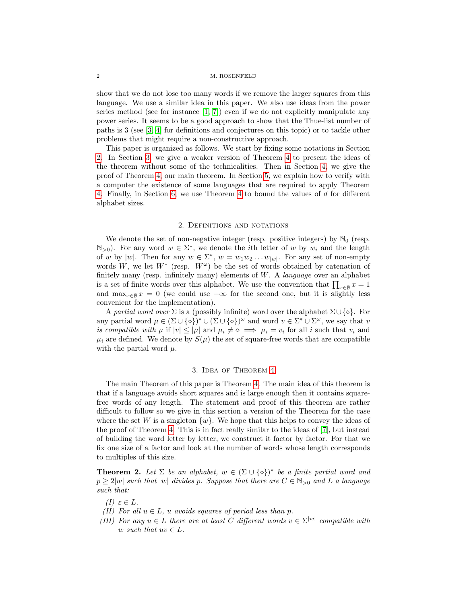#### 2 M. ROSENFELD

show that we do not lose too many words if we remove the larger squares from this language. We use a similar idea in this paper. We also use ideas from the power series method (see for instance [\[1,](#page-14-4) [7\]](#page-14-5)) even if we do not explicitly manipulate any power series. It seems to be a good approach to show that the Thue-list number of paths is 3 (see [\[3,](#page-14-6) [4\]](#page-14-7) for definitions and conjectures on this topic) or to tackle other problems that might require a non-constructive approach.

This paper is organized as follows. We start by fixing some notations in Section [2.](#page-1-0) In Section [3,](#page-1-1) we give a weaker version of Theorem [4](#page-3-0) to present the ideas of the theorem without some of the technicalities. Then in Section [4,](#page-3-1) we give the proof of Theorem [4,](#page-3-0) our main theorem. In Section [5,](#page-8-0) we explain how to verify with a computer the existence of some languages that are required to apply Theorem [4.](#page-3-0) Finally, in Section [6,](#page-12-0) we use Theorem [4](#page-3-0) to bound the values of d for different alphabet sizes.

### 2. Definitions and notations

<span id="page-1-0"></span>We denote the set of non-negative integer (resp. positive integers) by  $\mathbb{N}_0$  (resp.  $\mathbb{N}_{>0}$ ). For any word  $w \in \Sigma^*$ , we denote the *i*th letter of w by  $w_i$  and the length of w by  $|w|$ . Then for any  $w \in \Sigma^*$ ,  $w = w_1 w_2 \dots w_{|w|}$ . For any set of non-empty words W, we let  $W^*$  (resp.  $W^{\omega}$ ) be the set of words obtained by catenation of finitely many (resp. infinitely many) elements of  $W$ . A *language* over an alphabet is a set of finite words over this alphabet. We use the convention that  $\prod_{x\in\emptyset} x = 1$ and  $\max_{x \in \emptyset} x = 0$  (we could use  $-\infty$  for the second one, but it is slightly less convenient for the implementation).

A partial word over  $\Sigma$  is a (possibly infinite) word over the alphabet  $\Sigma \cup {\{\diamond\}}$ . For any partial word  $\mu \in (\Sigma \cup \{\diamond\})^* \cup (\Sigma \cup \{\diamond\})^\omega$  and word  $v \in \Sigma^* \cup \Sigma^\omega$ , we say that v is compatible with  $\mu$  if  $|v| \leq |\mu|$  and  $\mu_i \neq \infty \implies \mu_i = v_i$  for all i such that  $v_i$  and  $\mu_i$  are defined. We denote by  $S(\mu)$  the set of square-free words that are compatible with the partial word  $\mu$ .

#### 3. Idea of Theorem [4](#page-3-0)

<span id="page-1-1"></span>The main Theorem of this paper is Theorem [4.](#page-3-0) The main idea of this theorem is that if a language avoids short squares and is large enough then it contains squarefree words of any length. The statement and proof of this theorem are rather difficult to follow so we give in this section a version of the Theorem for the case where the set W is a singleton  $\{w\}$ . We hope that this helps to convey the ideas of the proof of Theorem [4.](#page-3-0) This is in fact really similar to the ideas of [\[7\]](#page-14-5), but instead of building the word letter by letter, we construct it factor by factor. For that we fix one size of a factor and look at the number of words whose length corresponds to multiples of this size.

<span id="page-1-2"></span>**Theorem 2.** Let  $\Sigma$  be an alphabet,  $w \in (\Sigma \cup \{ \diamond \})^*$  be a finite partial word and  $p \ge 2|w|$  such that  $|w|$  divides p. Suppose that there are  $C \in \mathbb{N}_{>0}$  and L a language such that:

- (I)  $\varepsilon \in L$ .
- (II) For all  $u \in L$ , u avoids squares of period less than p.
- (III) For any  $u \in L$  there are at least C different words  $v \in \Sigma^{|w|}$  compatible with w such that  $uv \in L$ .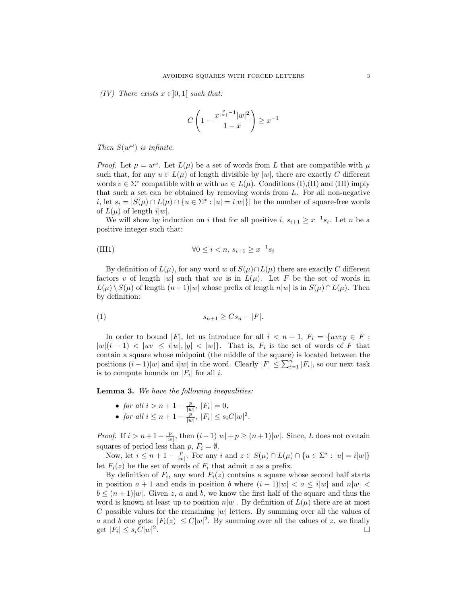<span id="page-2-2"></span>(IV) There exists  $x \in ]0,1[$  such that:

$$
C\left(1 - \frac{x^{\frac{p}{|w|} - 1}|w|^2}{1 - x}\right) \ge x^{-1}
$$

Then  $S(w^{\omega})$  is infinite.

*Proof.* Let  $\mu = w^{\omega}$ . Let  $L(\mu)$  be a set of words from L that are compatible with  $\mu$ such that, for any  $u \in L(\mu)$  of length divisible by |w|, there are exactly C different words  $v \in \Sigma^*$  compatible with w with  $uv \in L(\mu)$ . Conditions (I),(II) and (III) imply that such a set can be obtained by removing words from  $L$ . For all non-negative i, let  $s_i = |S(\mu) \cap L(\mu) \cap \{u \in \Sigma^* : |u| = i|w|\}|$  be the number of square-free words of  $L(\mu)$  of length  $i|w|$ .

We will show by induction on i that for all positive i,  $s_{i+1} \geq x^{-1} s_i$ . Let n be a positive integer such that:

<span id="page-2-1"></span><span id="page-2-0"></span>(III1) 
$$
\forall 0 \leq i < n, \, s_{i+1} \geq x^{-1} s_i
$$

By definition of  $L(\mu)$ , for any word w of  $S(\mu) \cap L(\mu)$  there are exactly C different factors v of length |w| such that wv is in  $L(\mu)$ . Let F be the set of words in  $L(\mu) \setminus S(\mu)$  of length  $(n+1)|w|$  whose prefix of length  $n|w|$  is in  $S(\mu) \cap L(\mu)$ . Then by definition:

$$
(1) \t\t s_{n+1} \ge Cs_n - |F|.
$$

In order to bound |F|, let us introduce for all  $i < n + 1$ ,  $F_i = \{uvvy \in F :$  $|w|(i-1) < |uv| \leq i|w|, |y| < |w|$ . That is,  $F_i$  is the set of words of F that contain a square whose midpoint (the middle of the square) is located between the positions  $(i-1)|w|$  and  $i|w|$  in the word. Clearly  $|F| \leq \sum_{i=1}^{n} |F_i|$ , so our next task is to compute bounds on  $|F_i|$  for all *i*.

<span id="page-2-3"></span>Lemma 3. We have the following inequalities:

- for all  $i > n + 1 \frac{p}{|w|}$ ,  $|F_i| = 0$ ,
- for all  $i \leq n+1-\frac{p}{|w|}$ ,  $|F_i| \leq s_i C |w|^2$ .

*Proof.* If  $i > n+1-\frac{p}{|w|}$ , then  $(i-1)|w|+p \ge (n+1)|w|$ . Since, L does not contain squares of period less than  $p, F_i = \emptyset$ .

Now, let  $i \leq n+1-\frac{p}{|w|}$ . For any i and  $z \in S(\mu) \cap L(\mu) \cap \{u \in \Sigma^* : |u| = i|w|\}$ let  $F_i(z)$  be the set of words of  $F_i$  that admit z as a prefix.

By definition of  $F_i$ , any word  $F_i(z)$  contains a square whose second half starts in position  $a + 1$  and ends in position b where  $(i - 1)|w| < a \le i|w|$  and  $n|w| < a$  $b \leq (n+1)|w|$ . Given z, a and b, we know the first half of the square and thus the word is known at least up to position  $n|w|$ . By definition of  $L(\mu)$  there are at most C possible values for the remaining  $|w|$  letters. By summing over all the values of a and b one gets:  $|F_i(z)| \leq C |w|^2$ . By summing over all the values of z, we finally get  $|F_i| \leq s_i C |w|^2$ .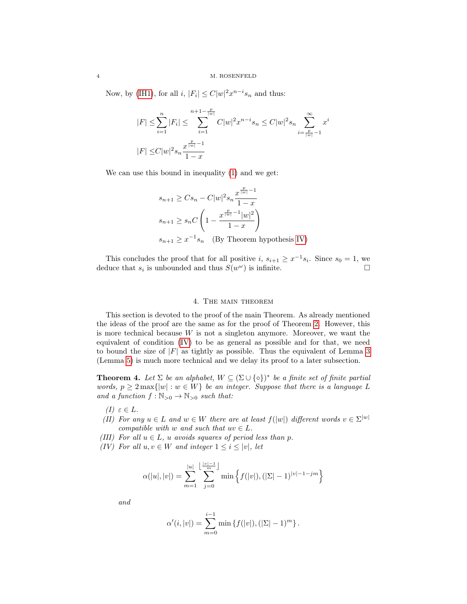Now, by [\(IH1\)](#page-2-0), for all  $i, |F_i| \leq C |w|^2 x^{n-i} s_n$  and thus:

$$
|F| \le \sum_{i=1}^n |F_i| \le \sum_{i=1}^{n+1 - \frac{p}{|w|}} C|w|^2 x^{n-i} s_n \le C|w|^2 s_n \sum_{i=\frac{p}{|w|}-1}^{\infty} x^i
$$
  

$$
|F| \le C|w|^2 s_n \frac{x^{\frac{p}{|w|}-1}}{1-x}
$$

We can use this bound in inequality [\(1\)](#page-2-1) and we get:

$$
s_{n+1} \geq Cs_n - C|w|^2 s_n \frac{x^{\frac{p}{|w|}-1}}{1-x}
$$
  

$$
s_{n+1} \geq s_n C \left(1 - \frac{x^{\frac{p}{|w|}-1}|w|^2}{1-x}\right)
$$
  

$$
s_{n+1} \geq x^{-1} s_n \quad \text{(By Theorem hypothesis IV)}
$$

This concludes the proof that for all positive  $i, s_{i+1} \geq x^{-1} s_i$ . Since  $s_0 = 1$ , we deduce that  $s_i$  is unbounded and thus  $S(w^{\omega})$  is infinite.

### 4. The main theorem

<span id="page-3-1"></span>This section is devoted to the proof of the main Theorem. As already mentioned the ideas of the proof are the same as for the proof of Theorem [2.](#page-1-2) However, this is more technical because  $W$  is not a singleton anymore. Moreover, we want the equivalent of condition [\(IV\)](#page-2-2) to be as general as possible and for that, we need to bound the size of  $|F|$  as tightly as possible. Thus the equivalent of Lemma [3](#page-2-3) (Lemma [5\)](#page-4-0) is much more technical and we delay its proof to a later subsection.

<span id="page-3-0"></span>**Theorem 4.** Let  $\Sigma$  be an alphabet,  $W \subseteq (\Sigma \cup \{\diamond\})^*$  be a finite set of finite partial words,  $p \geq 2 \max\{|w| : w \in W\}$  be an integer. Suppose that there is a language L and a function  $f : \mathbb{N}_{>0} \to \mathbb{N}_{>0}$  such that:

- (I)  $\varepsilon \in L$ .
- (II) For any  $u \in L$  and  $w \in W$  there are at least  $f(|w|)$  different words  $v \in \Sigma^{|w|}$ compatible with w and such that  $uv \in L$ .
- (III) For all  $u \in L$ , u avoids squares of period less than p.
- <span id="page-3-2"></span>(IV) For all  $u, v \in W$  and integer  $1 \leq i \leq |v|$ , let

$$
\alpha(|u|,|v|) = \sum_{m=1}^{|u|} \sum_{j=0}^{\left\lfloor \frac{|v|-1}{m} \right\rfloor} \min \left\{ f(|v|), (|\Sigma|-1)^{|v|-1-jm} \right\}
$$

and

$$
\alpha'(i,|v|) = \sum_{m=0}^{i-1} \min \{f(|v|), (|\Sigma| - 1)^m\}.
$$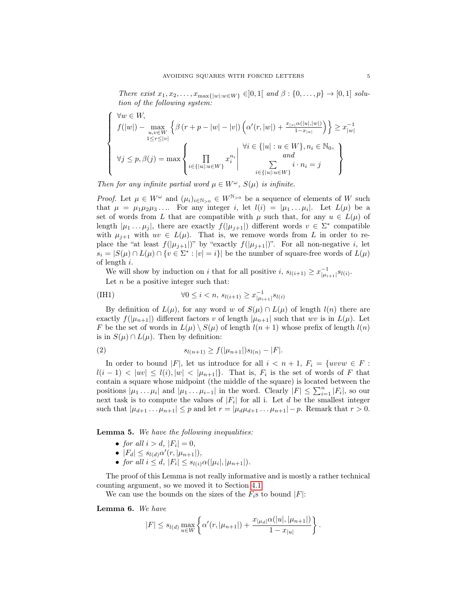There exist  $x_1, x_2, \ldots, x_{\max\{|w| : w \in W\}} \in ]0,1[$  and  $\beta : \{0, \ldots, p\} \to [0,1]$  solution of the following system:

$$
\begin{cases} \forall w \in W, \\ f(|w|) - \max_{\substack{u,v \in W \\ 1 \le r \le |v|}} \left\{ \beta(r+p-|w|-|v|) \left( \alpha'(r,|w|) + \frac{x_{|v|}\alpha(|u|,|w|)}{1-x_{|u|}} \right) \right\} \ge x_{|w|}^{-1} \\ \forall j \le p, \beta(j) = \max \begin{cases} \prod_{i \in \{|u|: u \in W\}} x_i^{n_i} & \text{and} \\ \sum_{i \in \{|u|: u \in W\}} x_i^{n_i} & \text{and} \\ \sum_{i \in \{|u|: u \in W\}} i \cdot n_i = j \end{cases} \end{cases}
$$

Then for any infinite partial word  $\mu \in W^{\omega}$ ,  $S(\mu)$  is infinite.

*Proof.* Let  $\mu \in W^{\omega}$  and  $(\mu_i)_{i \in \mathbb{N}_{>0}} \in W^{\mathbb{N}_{>0}}$  be a sequence of elements of W such that  $\mu = \mu_1 \mu_2 \mu_3 \ldots$  For any integer i, let  $l(i) = |\mu_1 \ldots \mu_i|$ . Let  $L(\mu)$  be a set of words from L that are compatible with  $\mu$  such that, for any  $u \in L(\mu)$  of length  $|\mu_1 \dots \mu_j|$ , there are exactly  $f(|\mu_{j+1}|)$  different words  $v \in \Sigma^*$  compatible with  $\mu_{j+1}$  with  $uv \in L(\mu)$ . That is, we remove words from L in order to replace the "at least  $f(|\mu_{j+1}|)$ " by "exactly  $f(|\mu_{j+1}|)$ ". For all non-negative i, let  $s_i = |S(\mu) \cap L(\mu) \cap \{v \in \Sigma^* : |v| = i\}|$  be the number of square-free words of  $L(\mu)$ of length i.

We will show by induction on i that for all positive  $i, s_{l(i+1)} \geq x_{\vert \mu_{i+1} \vert}^{-1} s_{l(i)}$ .

<span id="page-4-3"></span>Let  $n$  be a positive integer such that:

<span id="page-4-1"></span>(III) 
$$
\forall 0 \leq i < n, \, s_{l(i+1)} \geq x_{| \mu_{i+1} |}^{-1} s_{l(i)}
$$

By definition of  $L(\mu)$ , for any word w of  $S(\mu) \cap L(\mu)$  of length  $l(n)$  there are exactly  $f(|\mu_{n+1}|)$  different factors v of length  $|\mu_{n+1}|$  such that wv is in  $L(\mu)$ . Let F be the set of words in  $L(\mu) \setminus S(\mu)$  of length  $l(n+1)$  whose prefix of length  $l(n)$ is in  $S(\mu) \cap L(\mu)$ . Then by definition:

(2) 
$$
s_{l(n+1)} \ge f(|\mu_{n+1}|)s_{l(n)} - |F|.
$$

In order to bound |F|, let us introduce for all  $i < n + 1$ ,  $F_i = \{uvw \in F :$  $l(i-1) < |uv| \leq l(i), |w| < |\mu_{n+1}|\}.$  That is,  $F_i$  is the set of words of F that contain a square whose midpoint (the middle of the square) is located between the positions  $|\mu_1 \dots \mu_i|$  and  $|\mu_1 \dots \mu_{i-1}|$  in the word. Clearly  $|F| \leq \sum_{i=1}^n |F_i|$ , so our next task is to compute the values of  $|F_i|$  for all i. Let d be the smallest integer such that  $|\mu_{d+1} \dots \mu_{n+1}| \leq p$  and let  $r = |\mu_d \mu_{d+1} \dots \mu_{n+1}| - p$ . Remark that  $r > 0$ .

<span id="page-4-0"></span>Lemma 5. We have the following inequalities:

- for all  $i > d$ ,  $|F_i| = 0$ ,
- $|F_d| \leq s_{l(d)} \alpha'(r, |\mu_{n+1}|),$
- for all  $i \leq d$ ,  $|F_i| \leq s_{l(i)} \alpha(|\mu_i|, |\mu_{n+1}|)$ .

The proof of this Lemma is not really informative and is mostly a rather technical counting argument, so we moved it to Section [4.1.](#page-6-0)

We can use the bounds on the sizes of the  $F_i$ s to bound  $|F|$ :

<span id="page-4-2"></span>Lemma 6. We have

$$
|F| \leq s_{l(d)} \max_{u \in W} \left\{ \alpha'(r, |\mu_{n+1}|) + \frac{x_{|\mu_d|} \alpha(|u|, |\mu_{n+1}|)}{1 - x_{|u|}} \right\}.
$$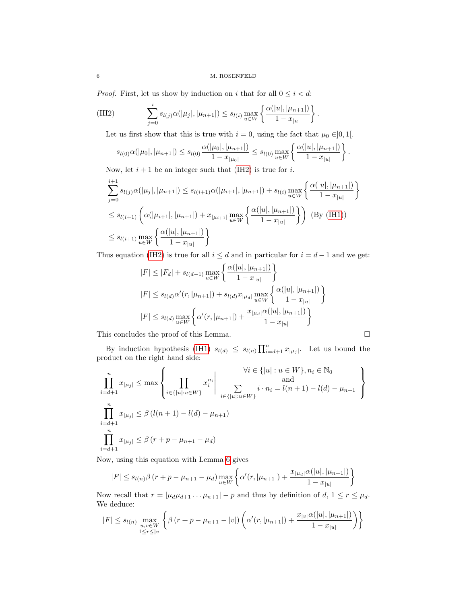*Proof.* First, let us show by induction on  $i$  that for all  $0\leq i < d$ :

<span id="page-5-0"></span>(IH2) 
$$
\sum_{j=0}^{i} s_{l(j)} \alpha(|\mu_j|, |\mu_{n+1}|) \leq s_{l(i)} \max_{u \in W} \left\{ \frac{\alpha(|u|, |\mu_{n+1}|)}{1 - x_{|u|}} \right\}.
$$

Let us first show that this is true with  $i = 0$ , using the fact that  $\mu_0 \in ]0,1[$ .

$$
s_{l(0)}\alpha(|\mu_0|, |\mu_{n+1}|) \leq s_{l(0)}\frac{\alpha(|\mu_0|, |\mu_{n+1}|)}{1-x_{|\mu_0|}} \leq s_{l(0)}\max_{u\in W}\left\{\frac{\alpha(|u|, |\mu_{n+1}|)}{1-x_{|u|}}\right\}.
$$

Now, let  $i + 1$  be an integer such that [\(IH2\)](#page-5-0) is true for i.

$$
\sum_{j=0}^{i+1} s_{l(j)} \alpha(|\mu_j|, |\mu_{n+1}|) \le s_{l(i+1)} \alpha(|\mu_{i+1}|, |\mu_{n+1}|) + s_{l(i)} \max_{u \in W} \left\{ \frac{\alpha(|u|, |\mu_{n+1}|)}{1 - x_{|u|}} \right\}
$$
  
\n
$$
\le s_{l(i+1)} \left( \alpha(|\mu_{i+1}|, |\mu_{n+1}|) + x_{|\mu_{i+1}|} \max_{u \in W} \left\{ \frac{\alpha(|u|, |\mu_{n+1}|)}{1 - x_{|u|}} \right\} \right) \text{ (By (IH1))}
$$
  
\n
$$
\le s_{l(i+1)} \max_{u \in W} \left\{ \frac{\alpha(|u|, |\mu_{n+1}|)}{1 - x_{|u|}} \right\}
$$

Thus equation [\(IH2\)](#page-5-0) is true for all  $i \leq d$  and in particular for  $i = d - 1$  and we get:

$$
|F| \le |F_d| + s_{l(d-1)} \max_{u \in W} \left\{ \frac{\alpha(|u|, |\mu_{n+1}|)}{1 - x_{|u|}} \right\}
$$
  

$$
|F| \le s_{l(d)} \alpha'(r, |\mu_{n+1}|) + s_{l(d)} x_{|\mu_d|} \max_{u \in W} \left\{ \frac{\alpha(|u|, |\mu_{n+1}|)}{1 - x_{|u|}} \right\}
$$
  

$$
|F| \le s_{l(d)} \max_{u \in W} \left\{ \alpha'(r, |\mu_{n+1}|) + \frac{x_{|\mu_d|} \alpha(|u|, |\mu_{n+1}|)}{1 - x_{|u|}} \right\}
$$

This concludes the proof of this Lemma.  $\Box$ 

By induction hypothesis [\(IH1\)](#page-4-1)  $s_{l(d)} \leq s_{l(n)} \prod_{i=d+1}^{n} x_{|\mu_j|}$ . Let us bound the product on the right hand side:

$$
\prod_{i=d+1}^{n} x_{|\mu_j|} \le \max \left\{ \prod_{i \in \{|u| : u \in W\}} x_i^{n_i} \middle| \bigcup_{i \in \{|u| : u \in W\}} x_i^{n_i} \middle| \prod_{i \in \{|u| : u \in W\}} i \cdot n_i = l(n+1) - l(d) - \mu_{n+1} \right\}
$$
\n
$$
\prod_{i=d+1}^{n} x_{|\mu_j|} \le \beta (l(n+1) - l(d) - \mu_{n+1})
$$
\n
$$
\prod_{i=d+1}^{n} x_{|\mu_j|} \le \beta (r + p - \mu_{n+1} - \mu_d)
$$

Now, using this equation with Lemma [6](#page-4-2) gives

$$
|F| \le s_{l(n)}\beta (r+p-\mu_{n+1}-\mu_d) \max_{u \in W} \left\{ \alpha'(r,|\mu_{n+1}|) + \frac{x_{|\mu_d|}\alpha(|u|,|\mu_{n+1}|)}{1-x_{|u|}} \right\}
$$

Now recall that  $r = |\mu_d \mu_{d+1} \dots \mu_{n+1}| - p$  and thus by definition of  $d, 1 \le r \le \mu_d$ . We deduce:

$$
|F| \le s_{l(n)} \max_{\substack{u,v \in W \\ 1 \le r \le |v|}} \left\{ \beta (r+p - \mu_{n+1} - |v|) \left( \alpha'(r,|\mu_{n+1}|) + \frac{x_{|v|} \alpha(|u|,|\mu_{n+1}|)}{1 - x_{|u|}} \right) \right\}
$$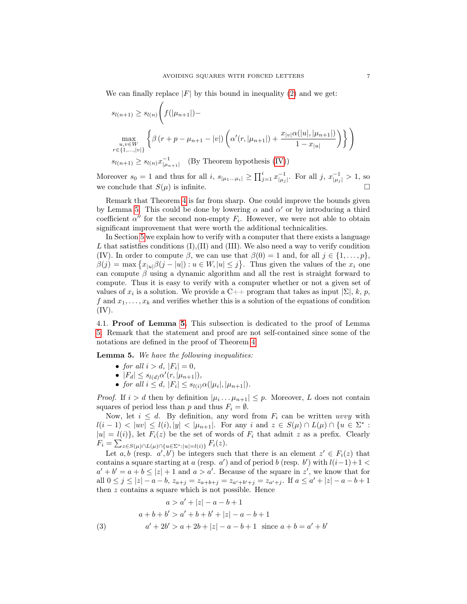We can finally replace  $|F|$  by this bound in inequality [\(2\)](#page-4-3) and we get:

$$
s_{l(n+1)} \ge s_{l(n)} \left( f(|\mu_{n+1}|) - \max_{\substack{u,v \in W \\ r \in \{1,\dots,|v|\}}} \left\{ \beta(r+p-\mu_{n+1}-|v|) \left( \alpha'(r,|\mu_{n+1}|) + \frac{x_{|v|}\alpha(|u|,|\mu_{n+1}|)}{1-x_{|u|}} \right) \right\} \right)
$$
  

$$
s_{l(n+1)} \ge s_{l(n)} x_{|\mu_{n+1}|}^{-1} \quad \text{(By Theorem hypothesis (IV))}
$$

Moreover  $s_0 = 1$  and thus for all  $i, s_{|\mu_1...\mu_i|} \ge \prod_{j=1}^i x_{|\mu_j|}^{-1}$ . For all  $j, x_{|\mu_j|}^{-1} > 1$ , so we conclude that  $S(\mu)$  is infinite.

Remark that Theorem [4](#page-3-0) is far from sharp. One could improve the bounds given by Lemma [5.](#page-4-0) This could be done by lowering  $\alpha$  and  $\alpha'$  or by introducing a third coefficient  $\alpha''$  for the second non-empty  $F_i$ . However, we were not able to obtain significant improvement that were worth the additional technicalities.

In Section [5](#page-8-0) we explain how to verify with a computer that there exists a language L that satisties conditions  $(I), (II)$  and  $(III)$ . We also need a way to verify condition (IV). In order to compute  $\beta$ , we can use that  $\beta(0) = 1$  and, for all  $j \in \{1, \ldots, p\}$ ,  $\beta(j) = \max \left\{ x_{|u|} \beta(j - |u|) : u \in W, |u| \leq j \right\}.$  Thus given the values of the  $x_i$  one can compute  $\beta$  using a dynamic algorithm and all the rest is straight forward to compute. Thus it is easy to verify with a computer whether or not a given set of values of  $x_i$  is a solution. We provide a C++ program that takes as input  $|\Sigma|$ , k, p, f and  $x_1, \ldots, x_k$  and verifies whether this is a solution of the equations of condition (IV).

<span id="page-6-0"></span>4.1. Proof of Lemma [5.](#page-4-0) This subsection is dedicated to the proof of Lemma [5.](#page-4-0) Remark that the statement and proof are not self-contained since some of the notations are defined in the proof of Theorem [4.](#page-3-0)

Lemma 5. We have the following inequalities:

- for all  $i > d$ ,  $|F_i| = 0$ ,
- $|F_d| \leq s_{l(d)} \alpha'(r, |\mu_{n+1}|),$
- for all  $i \leq d$ ,  $|F_i| \leq s_{l(i)} \alpha(|\mu_i|, |\mu_{n+1}|)$ .

*Proof.* If  $i > d$  then by definition  $|\mu_i \dots \mu_{n+1}| \leq p$ . Moreover, L does not contain squares of period less than p and thus  $F_i = \emptyset$ .

Now, let  $i \leq d$ . By definition, any word from  $F_i$  can be written uvvy with  $l(i-1) < |uv| \leq l(i), |y| < |\mu_{n+1}|$ . For any i and  $z \in S(\mu) \cap L(\mu) \cap \{u \in \Sigma^* : u \in \Sigma \}$  $|u| = l(i)$ , let  $F_i(z)$  be the set of words of  $F_i$  that admit z as a prefix. Clearly  $F_i = \sum_{z \in S(\mu) \cap L(\mu) \cap \{u \in \Sigma^* : |u| = l(i)\}} F_i(z).$ 

Let a, b (resp.  $a', b'$ ) be integers such that there is an element  $z' \in F_i(z)$  that contains a square starting at a (resp. a') and of period b (resp. b') with  $l(i-1)+1$  <  $a'+b'=a+b\leq |z|+1$  and  $a>a'$ . Because of the square in z', we know that for all  $0 \leq j \leq |z| - a - b$ ,  $z_{a+j} = z_{a+b+j} = z_{a'+b'+j} = z_{a'+j}$ . If  $a \leq a'+|z| - a - b + 1$ then z contains a square which is not possible. Hence

<span id="page-6-1"></span>(3)  
\n
$$
a > a' + |z| - a - b + 1
$$
\n
$$
a + b + b' > a' + b + b' + |z| - a - b + 1
$$
\n
$$
a' + 2b' > a + 2b + |z| - a - b + 1 \text{ since } a + b = a' + b'
$$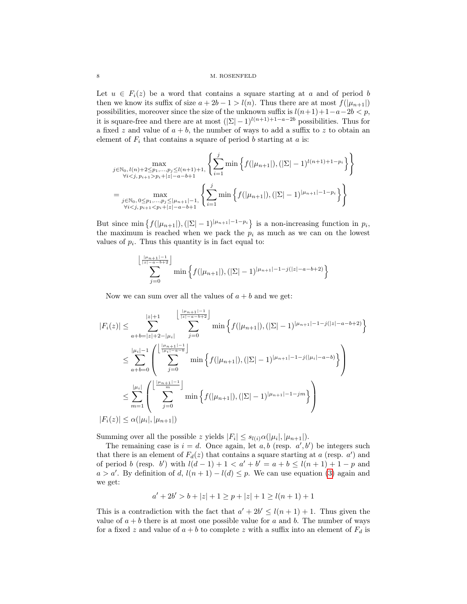Let  $u \in F_i(z)$  be a word that contains a square starting at a and of period b then we know its suffix of size  $a + 2b - 1 > l(n)$ . Thus there are at most  $f(|\mu_{n+1}|)$ possibilities, moreover since the size of the unknown suffix is  $l(n+1)+1-a-2b < p$ , it is square-free and there are at most  $(|\Sigma| - 1)^{l(n+1)+1-a-2b}$  possibilities. Thus for a fixed z and value of  $a + b$ , the number of ways to add a suffix to z to obtain an element of  $F_i$  that contains a square of period b starting at a is:

$$
\max_{\substack{j \in \mathbb{N}_0, l(n)+2 \le p_1, \dots, p_j \le l(n+1)+1, \\ \forall i < j, p_{i+1} > p_i+|z|-a-b+1}} \left\{ \sum_{i=1}^j \min \left\{ f(|\mu_{n+1}|), (|\Sigma|-1)^{l(n+1)+1-p_i} \right\} \right\}
$$
\n
$$
= \max_{\substack{j \in \mathbb{N}_0, 0 \le p_1, \dots, p_j \le |\mu_{n+1}|-1, \\ \forall i < j, p_{i+1} < p_i+|z|-a-b+1}} \left\{ \sum_{i=1}^j \min \left\{ f(|\mu_{n+1}|), (|\Sigma|-1)^{|\mu_{n+1}|-1-p_i} \right\} \right\}
$$

But since min  $\{f(|\mu_{n+1}|), (|\Sigma|-1)^{|\mu_{n+1}|-1-p_i}\}$  is a non-increasing function in  $p_i$ , the maximum is reached when we pack the  $p_i$  as much as we can on the lowest values of  $p_i$ . Thus this quantity is in fact equal to:

$$
\sum_{j=0}^{\left\lfloor \frac{|\mu_{n+1}| - 1}{|z| - a - b + 2} \right\rfloor} \min \left\{ f(|\mu_{n+1}|), (|\Sigma| - 1)^{|\mu_{n+1}| - 1 - j(|z| - a - b + 2)} \right\}
$$

Now we can sum over all the values of  $a + b$  and we get:

$$
|F_i(z)| \leq \sum_{a+b=|z|+2-|\mu_i|}^{|z|+1} \sum_{j=0}^{\lfloor \frac{|\mu_{n+1}|-1}{|z|-a-b+2}} \min\left\{f(|\mu_{n+1}|), (|\Sigma|-1)^{|\mu_{n+1}|-1-j(|z|-a-b+2)}\right\}
$$
  

$$
\leq \sum_{a+b=0}^{|\mu_i|-1} \left(\sum_{j=0}^{\lfloor \frac{|\mu_{n+1}|-1}{|\mu_i|-a-b}} \min\left\{f(|\mu_{n+1}|), (|\Sigma|-1)^{|\mu_{n+1}|-1-j(|\mu_i|-a-b)}\right\}\right)
$$
  

$$
\leq \sum_{m=1}^{|\mu_i|} \left(\sum_{j=0}^{\lfloor \frac{|\mu_{n+1}|-1}{m}\rfloor} \min\left\{f(|\mu_{n+1}|), (|\Sigma|-1)^{|\mu_{n+1}|-1-jm}\right\}\right)
$$
  

$$
|F_i(z)| \leq \alpha(|\mu_i|, |\mu_{n+1}|)
$$

Summing over all the possible z yields  $|F_i| \leq s_{l(i)} \alpha(|\mu_i|, |\mu_{n+1}|)$ .

The remaining case is  $i = d$ . Once again, let  $a, b$  (resp.  $a', b'$ ) be integers such that there is an element of  $F_d(z)$  that contains a square starting at a (resp. a') and of period b (resp. b') with  $l(d-1) + 1 < a' + b' = a + b \le l(n+1) + 1 - p$  and  $a > a'$ . By definition of d,  $l(n + 1) - l(d) \leq p$ . We can use equation [\(3\)](#page-6-1) again and we get:

$$
a' + 2b' > b + |z| + 1 \ge p + |z| + 1 \ge l(n+1) + 1
$$

This is a contradiction with the fact that  $a' + 2b' \leq l(n + 1) + 1$ . Thus given the value of  $a + b$  there is at most one possible value for a and b. The number of ways for a fixed z and value of  $a + b$  to complete z with a suffix into an element of  $F_d$  is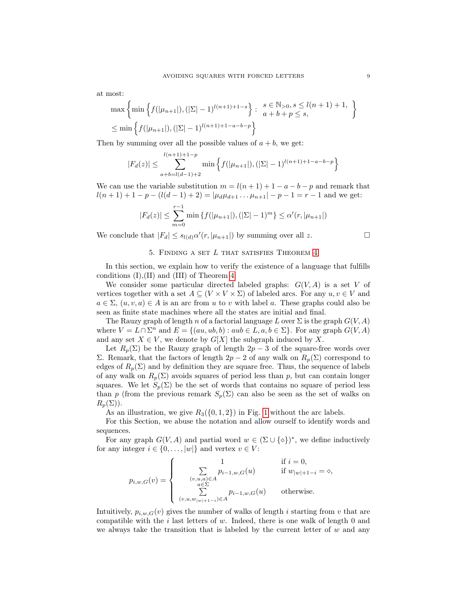at most:

$$
\max \left\{ \min \left\{ f(|\mu_{n+1}|), (|\Sigma| - 1)^{l(n+1)+1-s} \right\} : \begin{array}{l} s \in \mathbb{N}_{>0}, s \le l(n+1)+1, \\ a+b+p \le s, \end{array} \right\}
$$
  

$$
\le \min \left\{ f(|\mu_{n+1}|), (|\Sigma| - 1)^{l(n+1)+1-a-b-p} \right\}
$$

Then by summing over all the possible values of  $a + b$ , we get:

$$
|F_d(z)| \le \sum_{a+b=l(d-1)+2}^{l(n+1)+1-p} \min\left\{ f(|\mu_{n+1}|), (|\Sigma|-1)^{l(n+1)+1-a-b-p} \right\}
$$

We can use the variable substitution  $m = l(n + 1) + 1 - a - b - p$  and remark that  $l(n+1)+1-p-(l(d-1)+2)=|\mu_d\mu_{d+1}... \mu_{n+1}|-p-1=r-1$  and we get:

$$
|F_d(z)| \le \sum_{m=0}^{r-1} \min \{ f(|\mu_{n+1}|), (|\Sigma| - 1)^m \} \le \alpha'(r, |\mu_{n+1}|)
$$

We conclude that  $|F_d| \leq s_{l(d)} \alpha'(r, |\mu_{n+1}|)$  by summing over all z.

# 5. Finding a set L that satisfies Theorem [4](#page-3-0)

<span id="page-8-0"></span>In this section, we explain how to verify the existence of a language that fulfills conditions (I),(II) and (III) of Theorem [4.](#page-3-0)

We consider some particular directed labeled graphs:  $G(V, A)$  is a set V of vertices together with a set  $A \subseteq (V \times V \times \Sigma)$  of labeled arcs. For any  $u, v \in V$  and  $a \in \Sigma$ ,  $(u, v, a) \in A$  is an arc from u to v with label a. These graphs could also be seen as finite state machines where all the states are initial and final.

The Rauzy graph of length n of a factorial language L over  $\Sigma$  is the graph  $G(V, A)$ where  $V = L \cap \Sigma^n$  and  $E = \{(au, ub, b) : aub \in L, a,b \in \Sigma\}$ . For any graph  $G(V, A)$ and any set  $X \in V$ , we denote by  $G[X]$  the subgraph induced by X.

Let  $R_p(\Sigma)$  be the Rauzy graph of length  $2p-3$  of the square-free words over Σ. Remark, that the factors of length  $2p − 2$  of any walk on  $R_p(Σ)$  correspond to edges of  $R_p(\Sigma)$  and by definition they are square free. Thus, the sequence of labels of any walk on  $R_p(\Sigma)$  avoids squares of period less than p, but can contain longer squares. We let  $S_p(\Sigma)$  be the set of words that contains no square of period less than p (from the previous remark  $S_p(\Sigma)$  can also be seen as the set of walks on  $R_n(\Sigma)$ ).

As an illustration, we give  $R_3({0,1,2})$  in Fig. [1](#page-9-0) without the arc labels.

For this Section, we abuse the notation and allow ourself to identify words and sequences.

For any graph  $G(V, A)$  and partial word  $w \in (\Sigma \cup {\{\diamond\}})^*$ , we define inductively for any integer  $i \in \{0, \ldots, |w|\}$  and vertex  $v \in V$ :

$$
p_{i,w,G}(v) = \begin{cases} 1 & \text{if } i = 0, \\ \sum_{\substack{(v,u,a) \in A \\ a \in \Sigma}} p_{i-1,w,G}(u) & \text{if } w_{|w|+1-i} = \infty, \\ \sum_{(v,u,w_{|w|+1-i}) \in A} p_{i-1,w,G}(u) & \text{otherwise.} \end{cases}
$$

Intuitively,  $p_{i,w,G}(v)$  gives the number of walks of length i starting from v that are compatible with the i last letters of w. Indeed, there is one walk of length 0 and we always take the transition that is labeled by the current letter of  $w$  and any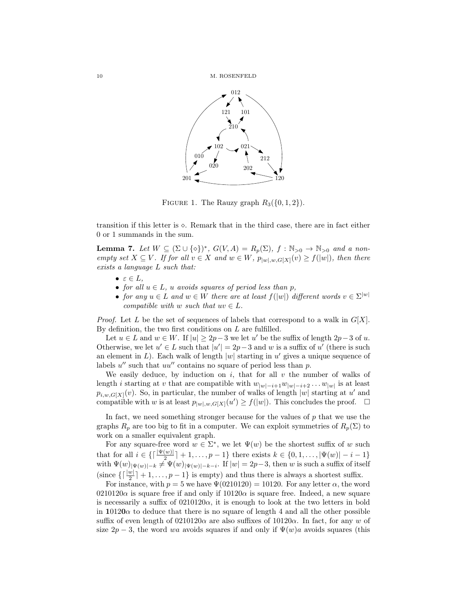

<span id="page-9-0"></span>FIGURE 1. The Rauzy graph  $R_3({0,1,2})$ .

transition if this letter is  $\circ$ . Remark that in the third case, there are in fact either 0 or 1 summands in the sum.

<span id="page-9-1"></span>**Lemma 7.** Let  $W \subseteq (\Sigma \cup \{\diamond\})^*, G(V, A) = R_p(\Sigma), f : \mathbb{N}_{>0} \to \mathbb{N}_{>0}$  and a nonempty set  $X \subseteq V$ . If for all  $v \in X$  and  $w \in W$ ,  $p_{|w|,w,G[X]}(v) \ge f(|w|)$ , then there exists a language L such that:

- $\bullet \varepsilon \in L,$
- for all  $u \in L$ , u avoids squares of period less than p,
- for any  $u \in L$  and  $w \in W$  there are at least  $f(|w|)$  different words  $v \in \Sigma^{|w|}$ compatible with w such that  $uv \in L$ .

*Proof.* Let L be the set of sequences of labels that correspond to a walk in  $G[X]$ . By definition, the two first conditions on  $L$  are fulfilled.

Let  $u \in L$  and  $w \in W$ . If  $|u| \geq 2p-3$  we let u' be the suffix of length  $2p-3$  of u. Otherwise, we let  $u' \in L$  such that  $|u'| = 2p-3$  and w is a suffix of u' (there is such an element in  $L$ ). Each walk of length  $|w|$  starting in  $u'$  gives a unique sequence of labels  $u''$  such that  $uu''$  contains no square of period less than  $p$ .

We easily deduce, by induction on i, that for all  $v$  the number of walks of length *i* starting at v that are compatible with  $w_{|w|-i+1}w_{|w|-i+2}\ldots w_{|w|}$  is at least  $p_{i,w,G[X]}(v)$ . So, in particular, the number of walks of length  $|w|$  starting at u' and compatible with w is at least  $p_{|w|,w,G[X]}(u') \geq f(|w|)$ . This concludes the proof.  $\Box$ 

In fact, we need something stronger because for the values of  $p$  that we use the graphs  $R_p$  are too big to fit in a computer. We can exploit symmetries of  $R_p(\Sigma)$  to work on a smaller equivalent graph.

For any square-free word  $w \in \Sigma^*$ , we let  $\Psi(w)$  be the shortest suffix of w such that for all  $i \in \{ \lceil \frac{|\Psi(w)|}{2} \rceil + 1, \ldots, p - 1 \}$  there exists  $k \in \{0, 1, \ldots, |\Psi(w)| - i - 1 \}$ with  $\Psi(w)|_{\Psi(w)|-k} \neq \Psi(w)|_{\Psi(w)|-k-i}$ . If  $|w| = 2p-3$ , then w is such a suffix of itself (since  $\left\{ \left\lceil \frac{|w|}{2} \right\rceil + 1, \ldots, p - 1 \right\}$  is empty) and thus there is always a shortest suffix.

For instance, with  $p = 5$  we have  $\Psi(0210120) = 10120$ . For any letter  $\alpha$ , the word 0210120 $\alpha$  is square free if and only if 10120 $\alpha$  is square free. Indeed, a new square is necessarily a suffix of  $0210120\alpha$ , it is enough to look at the two letters in bold in 10120 $\alpha$  to deduce that there is no square of length 4 and all the other possible suffix of even length of 0210120 $\alpha$  are also suffixes of 10120 $\alpha$ . In fact, for any w of size  $2p-3$ , the word wa avoids squares if and only if  $\Psi(w)a$  avoids squares (this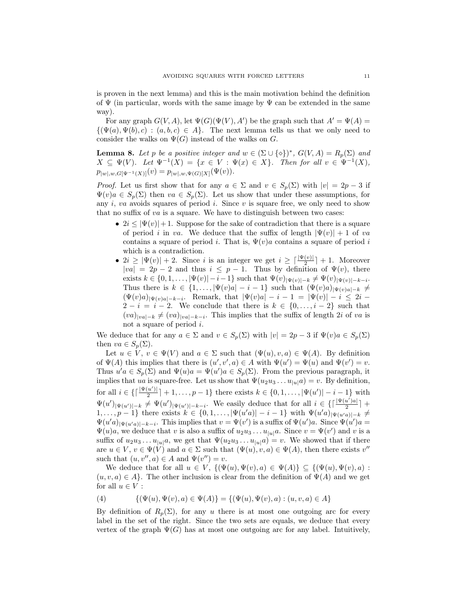is proven in the next lemma) and this is the main motivation behind the definition of  $\Psi$  (in particular, words with the same image by  $\Psi$  can be extended in the same way).

For any graph  $G(V, A)$ , let  $\Psi(G)(\Psi(V), A')$  be the graph such that  $A' = \Psi(A)$  $\{\Psi(a), \Psi(b), c) : (a, b, c) \in A\}.$  The next lemma tells us that we only need to consider the walks on  $\Psi(G)$  instead of the walks on G.

<span id="page-10-1"></span>**Lemma 8.** Let p be a positive integer and  $w \in (\Sigma \cup \{\diamond\})^*, G(V, A) = R_p(\Sigma)$  and  $X \subseteq \Psi(V)$ . Let  $\Psi^{-1}(X) = \{x \in V : \Psi(x) \in X\}$ . Then for all  $v \in \Psi^{-1}(X)$ ,  $p_{|w|,w,G[\Psi^{-1}(X)]}(v) = p_{|w|,w,\Psi(G)[X]}(\Psi(v)).$ 

*Proof.* Let us first show that for any  $a \in \Sigma$  and  $v \in S_p(\Sigma)$  with  $|v| = 2p - 3$  if  $\Psi(v)a \in S_n(\Sigma)$  then  $va \in S_n(\Sigma)$ . Let us show that under these assumptions, for any  $i$ , va avoids squares of period  $i$ . Since  $v$  is square free, we only need to show that no suffix of  $va$  is a square. We have to distinguish between two cases:

- $2i \leq |\Psi(v)|+1$ . Suppose for the sake of contradiction that there is a square of period i in va. We deduce that the suffix of length  $|\Psi(v)| + 1$  of va contains a square of period i. That is,  $\Psi(v)a$  contains a square of period i which is a contradiction.
- $2i \geq |\Psi(v)| + 2$ . Since i is an integer we get  $i \geq \lceil \frac{|\Psi(v)|}{2} \rceil + 1$ . Moreover  $|va| = 2p - 2$  and thus  $i \leq p - 1$ . Thus by definition of  $\Psi(v)$ , there exists  $k \in \{0, 1, \ldots, |\Psi(v)| - i - 1\}$  such that  $\Psi(v)_{|\Psi(v)| - k} \neq \Psi(v)_{|\Psi(v)| - k - i}$ . Thus there is  $k \in \{1, \ldots, |\Psi(v)a| - i - 1\}$  such that  $(\Psi(v)a)_{|\Psi(v)a| - k} \neq$  $(\Psi(v)a)|_{\Psi(v)a|-k-i}$ . Remark, that  $|\Psi(v)a|-i-1| = |\Psi(v)|-i \leq 2i-1$  $2-i = i-2$ . We conclude that there is  $k \in \{0,\ldots,i-2\}$  such that  $(va)_{|va|=k} \neq (va)_{|va|=k-i}$ . This implies that the suffix of length 2i of va is not a square of period i.

We deduce that for any  $a \in \Sigma$  and  $v \in S_p(\Sigma)$  with  $|v| = 2p - 3$  if  $\Psi(v)a \in S_p(\Sigma)$ then  $va \in S_p(\Sigma)$ .

Let  $u \in V$ ,  $v \in \Psi(V)$  and  $a \in \Sigma$  such that  $(\Psi(u), v, a) \in \Psi(A)$ . By definition of  $\Psi(A)$  this implies that there is  $(u', v', a) \in A$  with  $\Psi(u') = \Psi(u)$  and  $\Psi(v') = v$ . Thus  $u'a \in S_p(\Sigma)$  and  $\Psi(u)a = \Psi(u')a \in S_p(\Sigma)$ . From the previous paragraph, it implies that ua is square-free. Let us show that  $\Psi(u_2u_3 \dots u_{|u|}a) = v$ . By definition, for all  $i \in \left\{ \left\lceil \frac{\vert \Psi(u') \vert}{2} \right\rceil$  $\frac{|u'|}{2}$  + 1, ...,  $p-1$ } there exists  $k \in \{0, 1, ..., |\Psi(u')| - i - 1\}$  with  $\Psi(u')_{|\Psi(u')|-k} \neq \Psi(u')_{|\Psi(u')|-k-i}$ . We easily deduce that for all  $i \in \{\lceil \frac{|\Psi(u')_a|}{2} \rceil$  $\frac{u}{2}$ <sup> $+$ </sup>  $1,\ldots,p-1\}$  there exists  $k \in \{0,1,\ldots,|\Psi(u'a)|-i-1\}$  with  $\Psi(u'a)_{|\Psi(u'a)|-k} \neq 0$  $\Psi(u'a)_{|\Psi(u'a)|-k-i}$ . This implies that  $v = \Psi(v')$  is a suffix of  $\Psi(u')a$ . Since  $\Psi(u')a =$  $\Psi(u)a$ , we deduce that v is also a suffix of  $u_2u_3 \ldots u_{|u|}a$ . Since  $v = \Psi(v')$  and v is a suffix of  $u_2u_3 \ldots u_{|u|}a$ , we get that  $\Psi(u_2u_3 \ldots u_{|u|}a) = v$ . We showed that if there are  $u \in V$ ,  $v \in \Psi(V)$  and  $a \in \Sigma$  such that  $(\Psi(u), v, a) \in \Psi(A)$ , then there exists  $v''$ such that  $(u, v'', a) \in A$  and  $\Psi(v'') = v$ .

We deduce that for all  $u \in V$ ,  $\{(\Psi(u), \Psi(v), a) \in \Psi(A)\} \subseteq \{(\Psi(u), \Psi(v), a)$ :  $(u, v, a) \in A$ . The other inclusion is clear from the definition of  $\Psi(A)$  and we get for all  $u \in V$  :

<span id="page-10-0"></span>(4) 
$$
\{(\Psi(u), \Psi(v), a) \in \Psi(A)\} = \{(\Psi(u), \Psi(v), a) : (u, v, a) \in A\}
$$

By definition of  $R_p(\Sigma)$ , for any u there is at most one outgoing arc for every label in the set of the right. Since the two sets are equals, we deduce that every vertex of the graph  $\Psi(G)$  has at most one outgoing arc for any label. Intuitively,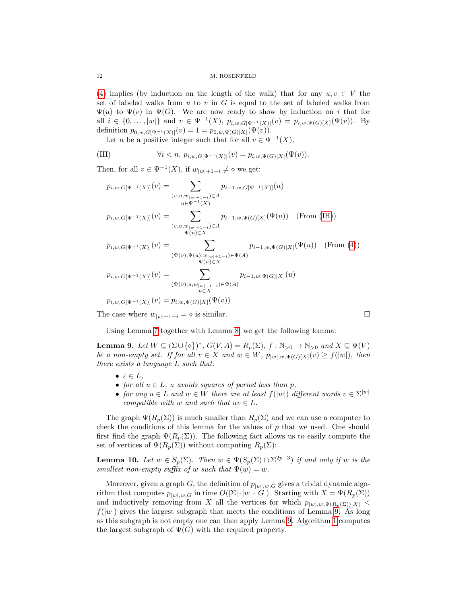[\(4\)](#page-10-0) implies (by induction on the length of the walk) that for any  $u, v \in V$  the set of labeled walks from  $u$  to  $v$  in  $G$  is equal to the set of labeled walks from  $\Psi(u)$  to  $\Psi(v)$  in  $\Psi(G)$ . We are now ready to show by induction on i that for all  $i \in \{0, ..., |w|\}$  and  $v \in \Psi^{-1}(X)$ ,  $p_{i,w,G[\Psi^{-1}(X)]}(v) = p_{i,w,\Psi(G)[X]}(\Psi(v))$ . By definition  $p_{0,w,G[\Psi^{-1}(X)]}(v) = 1 = p_{0,w,\Psi(G)[X]}(\Psi(v)).$ 

Let *n* be a positive integer such that for all  $v \in \Psi^{-1}(X)$ ,

<span id="page-11-0"></span>(IH) 
$$
\forall i < n, p_{i,w,G[\Psi^{-1}(X)]}(v) = p_{i,w,\Psi(G)[X]}(\Psi(v)).
$$

Then, for all  $v \in \Psi^{-1}(X)$ , if  $w_{|w|+1-i} \neq \infty$  we get:

$$
p_{i,w,G[\Psi^{-1}(X)]}(v) = \sum_{(v,u,w_{|\psi|+1-i}) \in A} p_{i-1,w,G[\Psi^{-1}(X)]}(u)
$$
  
\n
$$
p_{i,w,G[\Psi^{-1}(X)]}(v) = \sum_{(v,u,w_{|\psi|+1-i}) \in A} p_{i-1,w,\Psi(G)[X]}(\Psi(u)) \quad \text{(From (IH))}
$$
  
\n
$$
p_{i,w,G[\Psi^{-1}(X)]}(v) = \sum_{(\Psi(v),\Psi(u),w_{|\psi|+1-i}) \in \Psi(A)} p_{i-1,w,\Psi(G)[X]}(\Psi(u)) \quad \text{(From (4))}
$$
  
\n
$$
p_{i,w,G[\Psi^{-1}(X)]}(v) = \sum_{\substack{(\Psi(v),\Psi(u),w_{|\psi|+1-i}) \in \Psi(A) \\ u \in X}} p_{i-1,w,\Psi(G)[X]}(u)
$$
  
\n
$$
p_{i,w,G[\Psi^{-1}(X)]}(v) = \sum_{\substack{(\Psi(v),u,w_{|\psi|+1-i}) \in \Psi(A) \\ u \in X}} p_{i-1,w,\Psi(G)[X]}(u)
$$

The case where  $w_{|w|+1-i} = \diamond$  is similar.

Using Lemma [7](#page-9-1) together with Lemma [8,](#page-10-1) we get the following lemma:

<span id="page-11-1"></span>**Lemma 9.** Let  $W \subseteq (\Sigma \cup \{\diamond\})^*, G(V, A) = R_p(\Sigma), f : \mathbb{N}_{>0} \to \mathbb{N}_{>0}$  and  $X \subseteq \Psi(V)$ be a non-empty set. If for all  $v \in X$  and  $w \in W$ ,  $p_{|w|,w,\Psi(G)[X]}(v) \ge f(|w|)$ , then there exists a language L such that:

- $\bullet \varepsilon \in L,$
- for all  $u \in L$ , u avoids squares of period less than p,
- for any  $u \in L$  and  $w \in W$  there are at least  $f(|w|)$  different words  $v \in \Sigma^{|w|}$ compatible with w and such that  $uv \in L$ .

The graph  $\Psi(R_p(\Sigma))$  is much smaller than  $R_p(\Sigma)$  and we can use a computer to check the conditions of this lemma for the values of  $p$  that we used. One should first find the graph  $\Psi(R_p(\Sigma))$ . The following fact allows us to easily compute the set of vertices of  $\Psi(R_p(\Sigma))$  without computing  $R_p(\Sigma)$ :

**Lemma 10.** Let  $w \in S_p(\Sigma)$ . Then  $w \in \Psi(S_p(\Sigma) \cap \Sigma^{2p-3})$  if and only if w is the smallest non-empty suffix of w such that  $\Psi(w) = w$ .

Moreover, given a graph G, the definition of  $p_{|w|,w,G}$  gives a trivial dynamic algorithm that computes  $p_{|w|,w,G}$  in time  $O(|\Sigma| \cdot |w| \cdot |G|)$ . Starting with  $X = \Psi(R_p(\Sigma))$ and inductively removing from X all the vertices for which  $p_{|w|,w,\Psi(R_p(\Sigma))}[X]$  $f(|w|)$  gives the largest subgraph that meets the conditions of Lemma [9.](#page-11-1) As long as this subgraph is not empty one can then apply Lemma [9.](#page-11-1) Algorithm [1](#page-12-1) computes the largest subgraph of  $\Psi(G)$  with the required property.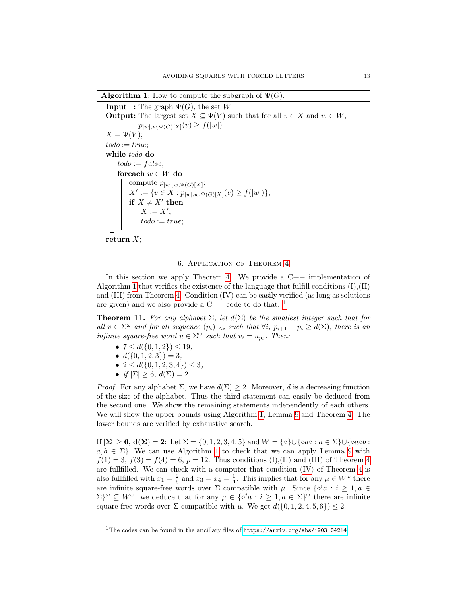**Algorithm 1:** How to compute the subgraph of  $\Psi(G)$ .

**Input** : The graph  $\Psi(G)$ , the set W **Output:** The largest set  $X \subseteq \Psi(V)$  such that for all  $v \in X$  and  $w \in W$ ,  $p_{|w|,w,\Psi(G)[X]}(v) \geq f(|w|)$  $X = \Psi(V);$  $todo := true;$ while todo do  $todo := false;$ foreach  $w \in W$  do compute  $p_{|w|,w,\Psi(G)[X]};$  $X' := \{v \in X : p_{|w|, w, \Psi(G)[X]}(v) \ge f(|w|)\};$ if  $X \neq X'$  then  $X := X';$  $todo := true;$ return  $X$ ;

## 6. Application of Theorem [4](#page-3-0)

<span id="page-12-1"></span><span id="page-12-0"></span>In this section we apply Theorem [4.](#page-3-0) We provide a  $C++$  implementation of Algorithm [1](#page-12-1) that verifies the existence of the language that fulfill conditions  $(I)(II)$ and (III) from Theorem [4.](#page-3-0) Condition (IV) can be easily verified (as long as solutions are given) and we also provide a  $C++$  code to do that.<sup>[1](#page-12-2)</sup>

**Theorem 11.** For any alphabet  $\Sigma$ , let  $d(\Sigma)$  be the smallest integer such that for all  $v \in \Sigma^{\omega}$  and for all sequence  $(p_i)_{1 \leq i}$  such that  $\forall i, p_{i+1} - p_i \geq d(\Sigma)$ , there is an infinite square-free word  $u \in \Sigma^{\omega}$  such that  $v_i = u_{p_i}$ . Then:

- $7 \leq d({0, 1, 2}) \leq 19$ ,
- $d({0, 1, 2, 3}) = 3$ ,
- $2 \leq d({0, 1, 2, 3, 4}) \leq 3$ ,
- if  $|\Sigma| \geq 6$ ,  $d(\Sigma) = 2$ .

*Proof.* For any alphabet  $\Sigma$ , we have  $d(\Sigma) \geq 2$ . Moreover, d is a decreasing function of the size of the alphabet. Thus the third statement can easily be deduced from the second one. We show the remaining statements independently of each others. We will show the upper bounds using Algorithm [1,](#page-12-1) Lemma [9](#page-11-1) and Theorem [4.](#page-3-0) The lower bounds are verified by exhaustive search.

If  $|\Sigma| \ge 6$ ,  $d(\Sigma) = 2$ : Let  $\Sigma = \{0, 1, 2, 3, 4, 5\}$  and  $W = \{\diamond\} \cup \{\diamond a \diamond : a \in \Sigma\} \cup \{\diamond a \diamond b :$  $a, b \in \Sigma$ . We can use Algorithm [1](#page-12-1) to check that we can apply Lemma [9](#page-11-1) with  $f(1) = 3, f(3) = f(4) = 6, p = 12.$  Thus conditions (I),(II) and (III) of Theorem [4](#page-3-0) are fullfilled. We can check with a computer that condition [\(IV\)](#page-3-2) of Theorem [4](#page-3-0) is also fullfilled with  $x_1 = \frac{2}{5}$  and  $x_3 = x_4 = \frac{1}{4}$ . This implies that for any  $\mu \in W^{\omega}$  there are infinite square-free words over  $\Sigma$  compatible with  $\mu$ . Since  $\{\delta^i a : i \geq 1, a \in$  $\Sigma^{\omega} \subseteq W^{\omega}$ , we deduce that for any  $\mu \in {\{\diamond^i a : i \geq 1, a \in \Sigma\}}^{\omega}$  there are infinite square-free words over  $\Sigma$  compatible with  $\mu$ . We get  $d({0, 1, 2, 4, 5, 6}) \leq 2$ .

<span id="page-12-2"></span><sup>&</sup>lt;sup>1</sup>The codes can be found in the ancillary files of  $\frac{h}{k}$  <https://arxiv.org/abs/1903.04214>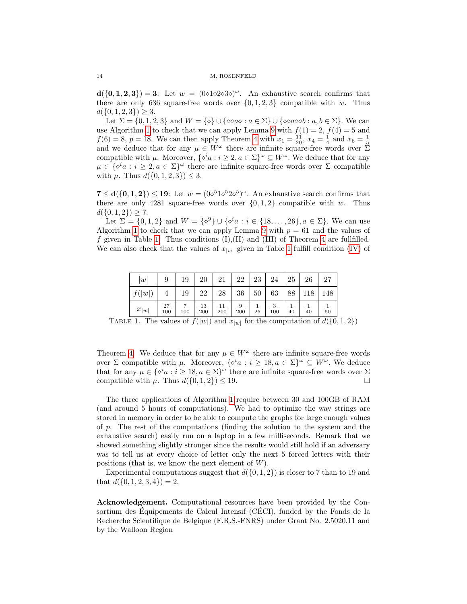$d({0, 1, 2, 3}) = 3$ : Let  $w = (0 \triangle 1 \triangle 2 \triangle 3 \triangle)^{\omega}$ . An exhaustive search confirms that there are only 636 square-free words over  $\{0, 1, 2, 3\}$  compatible with w. Thus  $d({0, 1, 2, 3}) \geq 3.$ 

Let  $\Sigma = \{0, 1, 2, 3\}$  and  $W = \{\&} \cup \{\& \alpha \& : a \in \Sigma\} \cup \{\& \alpha \& \& \vdots \& \emptyset$ . We can use Algorithm [1](#page-12-1) to check that we can apply Lemma [9](#page-11-1) with  $f(1) = 2$ ,  $f(4) = 5$  and  $f(6) = 8, p = 18.$  We can then apply Theorem [4](#page-3-0) with  $x_1 = \frac{11}{20}$ ,  $x_4 = \frac{1}{4}$  and  $x_6 = \frac{1}{5}$ and we deduce that for any  $\mu \in W^{\omega}$  there are infinite square-free words over  $\Sigma$ compatible with  $\mu$ . Moreover,  $\{\diamond^i a : i \geq 2, a \in \Sigma\}^\omega \subseteq W^\omega$ . We deduce that for any  $\mu \in \{ \diamond^i a : i \geq 2, a \in \Sigma \}^\omega$  there are infinite square-free words over  $\Sigma$  compatible with  $\mu$ . Thus  $d({0, 1, 2, 3}) \leq 3$ .

 $7 \le d({0, 1, 2}) \le 19$ : Let  $w = (0 \circ 51 \circ 52 \circ 5)^{\omega}$ . An exhaustive search confirms that there are only 4281 square-free words over  $\{0, 1, 2\}$  compatible with w. Thus  $d({0, 1, 2}) \geq 7.$ 

Let  $\Sigma = \{0, 1, 2\}$  and  $W = \{\delta^9\} \cup \{\delta^i a : i \in \{18, ..., 26\}, a \in \Sigma\}$ . We can use Algorithm [1](#page-12-1) to check that we can apply Lemma [9](#page-11-1) with  $p = 61$  and the values of f given in Table [1.](#page-13-0) Thus conditions  $(I)$ ,  $(II)$  and  $(III)$  of Theorem [4](#page-3-0) are fullfilled. We can also check that the values of  $x_{|w|}$  given in Table [1](#page-13-0) fulfill condition [\(IV\)](#page-3-2) of

| w         | 9         | 19               | 20                     | 21               | 22                    | 23              | 24       | 25              | 26              | 27              |
|-----------|-----------|------------------|------------------------|------------------|-----------------------|-----------------|----------|-----------------|-----------------|-----------------|
| f( w )    |           | 19               | 22                     | 28               | 36                    | 50 <sup>°</sup> | $63\,$   | 88              | 118             | 148             |
| $x_{ w }$ | 27<br>100 | $\overline{100}$ | 13<br>$\overline{200}$ | $\overline{200}$ | 9<br>$\overline{200}$ | $\overline{25}$ | 3<br>100 | $\overline{40}$ | $\overline{40}$ | $\overline{50}$ |

<span id="page-13-0"></span>TABLE 1. The values of  $f(|w|)$  and  $x_{|w|}$  for the computation of  $d(\{0, 1, 2\})$ 

Theorem [4.](#page-3-0) We deduce that for any  $\mu \in W^{\omega}$  there are infinite square-free words over  $\Sigma$  compatible with  $\mu$ . Moreover,  $\{\delta^i a : i \geq 18, a \in \Sigma\}^\omega \subseteq W^\omega$ . We deduce that for any  $\mu \in \{ \diamond^i a : i \geq 18, a \in \Sigma \}^\omega$  there are infinite square-free words over  $\Sigma$ compatible with  $\mu$ . Thus  $d({0, 1, 2}) \leq 19$ .

The three applications of Algorithm [1](#page-12-1) require between 30 and 100GB of RAM (and around 5 hours of computations). We had to optimize the way strings are stored in memory in order to be able to compute the graphs for large enough values of p. The rest of the computations (finding the solution to the system and the exhaustive search) easily run on a laptop in a few milliseconds. Remark that we showed something slightly stronger since the results would still hold if an adversary was to tell us at every choice of letter only the next 5 forced letters with their positions (that is, we know the next element of  $W$ ).

Experimental computations suggest that  $d({0, 1, 2})$  is closer to 7 than to 19 and that  $d({0, 1, 2, 3, 4}) = 2$ .

Acknowledgement. Computational resources have been provided by the Consortium des Équipements de Calcul Intensif (CÉCI), funded by the Fonds de la Recherche Scientifique de Belgique (F.R.S.-FNRS) under Grant No. 2.5020.11 and by the Walloon Region